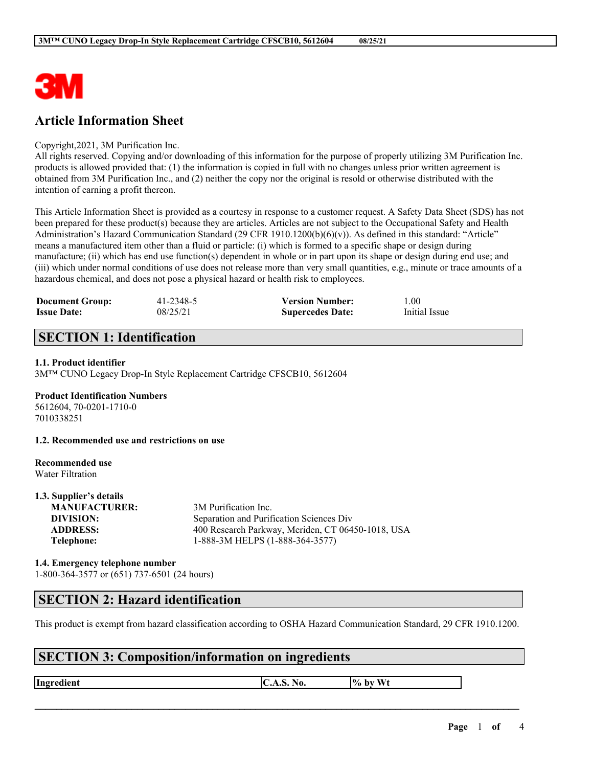

# **Article Information Sheet**

### Copyright,2021, 3M Purification Inc.

All rights reserved. Copying and/or downloading of this information for the purpose of properly utilizing 3M Purification Inc. products is allowed provided that: (1) the information is copied in full with no changes unless prior written agreement is obtained from 3M Purification Inc., and (2) neither the copy nor the original is resold or otherwise distributed with the intention of earning a profit thereon.

This Article Information Sheet is provided as a courtesy in response to a customer request. A Safety Data Sheet (SDS) has not been prepared for these product(s) because they are articles. Articles are not subject to the Occupational Safety and Health Administration's Hazard Communication Standard (29 CFR 1910.1200(b)(6)(v)). As defined in this standard: "Article" means a manufactured item other than a fluid or particle: (i) which is formed to a specific shape or design during manufacture; (ii) which has end use function(s) dependent in whole or in part upon its shape or design during end use; and (iii) which under normal conditions of use does not release more than very small quantities, e.g., minute or trace amounts of a hazardous chemical, and does not pose a physical hazard or health risk to employees.

| <b>Document Group:</b> | 41-2348-5 | <b>Version Number:</b>  | .00.          |
|------------------------|-----------|-------------------------|---------------|
| <b>Issue Date:</b>     | 08/25/21  | <b>Supercedes Date:</b> | Initial Issue |

# **SECTION 1: Identification**

### **1.1. Product identifier**

3M™ CUNO Legacy Drop-In Style Replacement Cartridge CFSCB10, 5612604

### **Product Identification Numbers**

5612604, 70-0201-1710-0 7010338251

**1.2. Recommended use and restrictions on use**

### **Recommended use** Water Filtration

**1.3. Supplier's details**

| 1.3. Supplier's details |                                                   |
|-------------------------|---------------------------------------------------|
| <b>MANUFACTURER:</b>    | 3M Purification Inc.                              |
| DIVISION:               | Separation and Purification Sciences Div          |
| <b>ADDRESS:</b>         | 400 Research Parkway, Meriden, CT 06450-1018, USA |
| Telephone:              | 1-888-3M HELPS (1-888-364-3577)                   |
|                         |                                                   |

### **1.4. Emergency telephone number** 1-800-364-3577 or (651) 737-6501 (24 hours)

### **SECTION 2: Hazard identification**

This product is exempt from hazard classification according to OSHA Hazard Communication Standard, 29 CFR 1910.1200.

 $\mathcal{L}_\mathcal{L} = \mathcal{L}_\mathcal{L} = \mathcal{L}_\mathcal{L} = \mathcal{L}_\mathcal{L} = \mathcal{L}_\mathcal{L} = \mathcal{L}_\mathcal{L} = \mathcal{L}_\mathcal{L} = \mathcal{L}_\mathcal{L} = \mathcal{L}_\mathcal{L} = \mathcal{L}_\mathcal{L} = \mathcal{L}_\mathcal{L} = \mathcal{L}_\mathcal{L} = \mathcal{L}_\mathcal{L} = \mathcal{L}_\mathcal{L} = \mathcal{L}_\mathcal{L} = \mathcal{L}_\mathcal{L} = \mathcal{L}_\mathcal{L}$ 

## **SECTION 3: Composition/information on ingredients**

**Ingredient C.A.S.** No.  $\begin{bmatrix} \phi & \phi \end{bmatrix}$  by Wt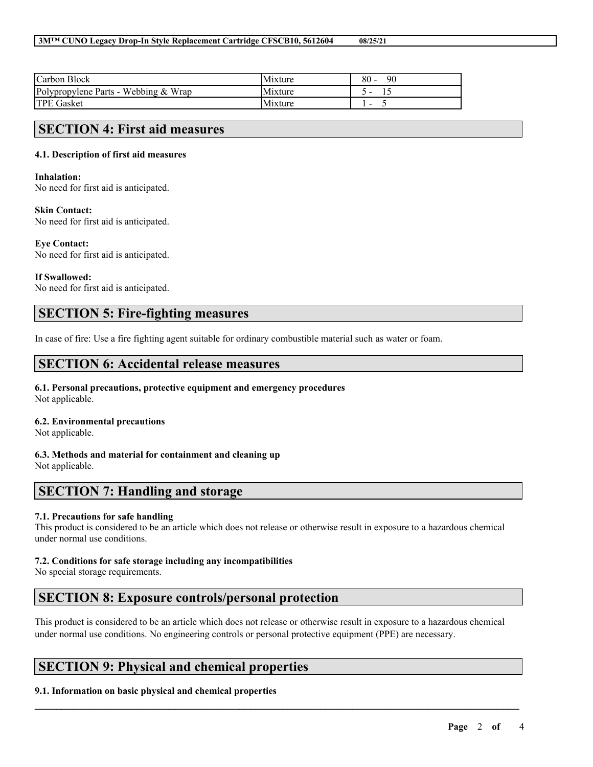| Carbon Block                         | Mixture        | 80 -<br>90 |
|--------------------------------------|----------------|------------|
| Polypropylene Parts - Webbing & Wrap | Mixture        |            |
| <b>TPE Gasket</b>                    | <b>Mixture</b> |            |

### **SECTION 4: First aid measures**

### **4.1. Description of first aid measures**

### **Inhalation:**

No need for first aid is anticipated.

#### **Skin Contact:**

No need for first aid is anticipated.

#### **Eye Contact:**

No need for first aid is anticipated.

### **If Swallowed:**

No need for first aid is anticipated.

## **SECTION 5: Fire-fighting measures**

In case of fire: Use a fire fighting agent suitable for ordinary combustible material such as water or foam.

### **SECTION 6: Accidental release measures**

#### **6.1. Personal precautions, protective equipment and emergency procedures** Not applicable.

### **6.2. Environmental precautions**

Not applicable.

**6.3. Methods and material for containment and cleaning up** Not applicable.

## **SECTION 7: Handling and storage**

### **7.1. Precautions for safe handling**

This product is considered to be an article which does not release or otherwise result in exposure to a hazardous chemical under normal use conditions.

### **7.2. Conditions for safe storage including any incompatibilities**

No special storage requirements.

# **SECTION 8: Exposure controls/personal protection**

This product is considered to be an article which does not release or otherwise result in exposure to a hazardous chemical under normal use conditions. No engineering controls or personal protective equipment (PPE) are necessary.

 $\mathcal{L}_\mathcal{L} = \mathcal{L}_\mathcal{L} = \mathcal{L}_\mathcal{L} = \mathcal{L}_\mathcal{L} = \mathcal{L}_\mathcal{L} = \mathcal{L}_\mathcal{L} = \mathcal{L}_\mathcal{L} = \mathcal{L}_\mathcal{L} = \mathcal{L}_\mathcal{L} = \mathcal{L}_\mathcal{L} = \mathcal{L}_\mathcal{L} = \mathcal{L}_\mathcal{L} = \mathcal{L}_\mathcal{L} = \mathcal{L}_\mathcal{L} = \mathcal{L}_\mathcal{L} = \mathcal{L}_\mathcal{L} = \mathcal{L}_\mathcal{L}$ 

## **SECTION 9: Physical and chemical properties**

### **9.1. Information on basic physical and chemical properties**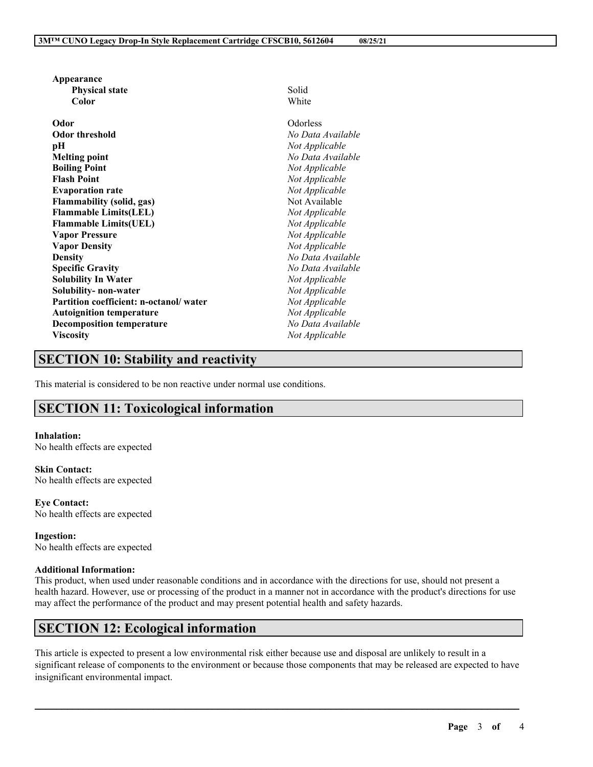| Appearance                             |                   |  |
|----------------------------------------|-------------------|--|
| <b>Physical state</b>                  | Solid             |  |
| Color                                  | White             |  |
| Odor                                   | Odorless          |  |
| <b>Odor threshold</b>                  | No Data Available |  |
| рH                                     | Not Applicable    |  |
| <b>Melting point</b>                   | No Data Available |  |
| <b>Boiling Point</b>                   | Not Applicable    |  |
| <b>Flash Point</b>                     | Not Applicable    |  |
| <b>Evaporation rate</b>                | Not Applicable    |  |
| <b>Flammability (solid, gas)</b>       | Not Available     |  |
| <b>Flammable Limits(LEL)</b>           | Not Applicable    |  |
| <b>Flammable Limits(UEL)</b>           | Not Applicable    |  |
| <b>Vapor Pressure</b>                  | Not Applicable    |  |
| <b>Vapor Density</b>                   | Not Applicable    |  |
| <b>Density</b>                         | No Data Available |  |
| <b>Specific Gravity</b>                | No Data Available |  |
| <b>Solubility In Water</b>             | Not Applicable    |  |
| Solubility- non-water                  | Not Applicable    |  |
| Partition coefficient: n-octanol/water | Not Applicable    |  |
| <b>Autoignition temperature</b>        | Not Applicable    |  |
| <b>Decomposition temperature</b>       | No Data Available |  |
| <b>Viscosity</b>                       | Not Applicable    |  |
|                                        |                   |  |

# **SECTION 10: Stability and reactivity**

This material is considered to be non reactive under normal use conditions.

# **SECTION 11: Toxicological information**

**Inhalation:** No health effects are expected

**Skin Contact:** No health effects are expected

**Eye Contact:** No health effects are expected

**Ingestion:** No health effects are expected

### **Additional Information:**

This product, when used under reasonable conditions and in accordance with the directions for use, should not present a health hazard. However, use or processing of the product in a manner not in accordance with the product's directions for use may affect the performance of the product and may present potential health and safety hazards.

## **SECTION 12: Ecological information**

This article is expected to present a low environmental risk either because use and disposal are unlikely to result in a significant release of components to the environment or because those components that may be released are expected to have insignificant environmental impact.

 $\mathcal{L}_\mathcal{L} = \mathcal{L}_\mathcal{L} = \mathcal{L}_\mathcal{L} = \mathcal{L}_\mathcal{L} = \mathcal{L}_\mathcal{L} = \mathcal{L}_\mathcal{L} = \mathcal{L}_\mathcal{L} = \mathcal{L}_\mathcal{L} = \mathcal{L}_\mathcal{L} = \mathcal{L}_\mathcal{L} = \mathcal{L}_\mathcal{L} = \mathcal{L}_\mathcal{L} = \mathcal{L}_\mathcal{L} = \mathcal{L}_\mathcal{L} = \mathcal{L}_\mathcal{L} = \mathcal{L}_\mathcal{L} = \mathcal{L}_\mathcal{L}$